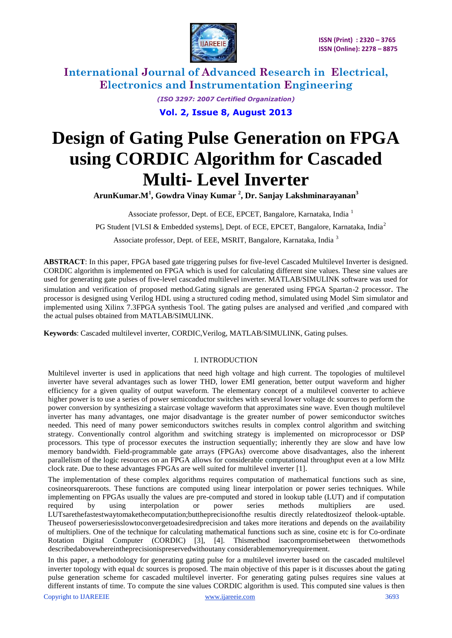

> *(ISO 3297: 2007 Certified Organization)* **Vol. 2, Issue 8, August 2013**

# **Design of Gating Pulse Generation on FPGA using CORDIC Algorithm for Cascaded Multi- Level Inverter**

**ArunKumar.M<sup>1</sup> , Gowdra Vinay Kumar <sup>2</sup> , Dr. Sanjay Lakshminarayanan<sup>3</sup>**

Associate professor, Dept. of ECE, EPCET, Bangalore, Karnataka, India<sup>1</sup> PG Student [VLSI & Embedded systems], Dept. of ECE, EPCET, Bangalore, Karnataka, India<sup>2</sup> Associate professor, Dept. of EEE, MSRIT, Bangalore, Karnataka, India <sup>3</sup>

**ABSTRACT**: In this paper, FPGA based gate triggering pulses for five-level Cascaded Multilevel Inverter is designed. CORDIC algorithm is implemented on FPGA which is used for calculating different sine values. These sine values are used for generating gate pulses of five-level cascaded multilevel inverter. MATLAB/SIMULINK software was used for simulation and verification of proposed method.Gating signals are generated using FPGA Spartan-2 processor. The processor is designed using Verilog HDL using a structured coding method, simulated using Model Sim simulator and implemented using Xilinx 7.3FPGA synthesis Tool. The gating pulses are analysed and verified ,and compared with the actual pulses obtained from MATLAB/SIMULINK.

**Keywords**: Cascaded multilevel inverter, CORDIC,Verilog, MATLAB/SIMULINK, Gating pulses.

#### I. INTRODUCTION

Multilevel inverter is used in applications that need high voltage and high current. The topologies of multilevel inverter have several advantages such as lower THD, lower EMI generation, better output waveform and higher efficiency for a given quality of output waveform. The elementary concept of a multilevel converter to achieve higher power is to use a series of power semiconductor switches with several lower voltage dc sources to perform the power conversion by synthesizing a staircase voltage waveform that approximates sine wave. Even though multilevel inverter has many advantages, one major disadvantage is the greater number of power semiconductor switches needed. This need of many power semiconductors switches results in complex control algorithm and switching strategy. Conventionally control algorithm and switching strategy is implemented on microprocessor or DSP processors. This type of processor executes the instruction sequentially; inherently they are slow and have low memory bandwidth. Field-programmable gate arrays (FPGAs) overcome above disadvantages, also the inherent parallelism of the logic resources on an FPGA allows for considerable computational throughput even at a low MHz clock rate. Due to these advantages FPGAs are well suited for multilevel inverter [1].

The implementation of these complex algorithms requires computation of mathematical functions such as sine, cosineorsquareroots. These functions are computed using linear interpolation or power series techniques. While implementing on FPGAs usually the values are pre-computed and stored in lookup table (LUT) and if computation required by using interpolation or power series methods multipliers are used. LUTsarethefastestwaytomakethecomputation;buttheprecisionofthe resultis directly relatedtosizeof thelook-uptable. Theuseof powerseriesisslowtoconvergetoadesiredprecision and takes more iterations and depends on the availability of multipliers. One of the technique for calculating mathematical functions such as sine, cosine etc is for Co-ordinate Rotation Digital Computer (CORDIC) [3], [4]. Thismethod isacompromisebetween thetwomethods describedabovewhereintheprecisionispreservedwithoutany considerablememoryrequirement.

In this paper, a methodology for generating gating pulse for a multilevel inverter based on the cascaded multilevel inverter topology with equal dc sources is proposed. The main objective of this paper is it discusses about the gating pulse generation scheme for cascaded multilevel inverter. For generating gating pulses requires sine values at different instants of time. To compute the sine values CORDIC algorithm is used. This computed sine values is then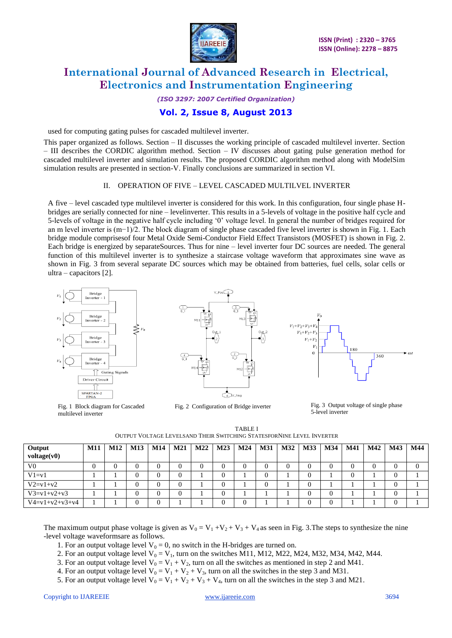

#### *(ISO 3297: 2007 Certified Organization)* **Vol. 2, Issue 8, August 2013**

used for computing gating pulses for cascaded multilevel inverter.

This paper organized as follows. Section – II discusses the working principle of cascaded multilevel inverter. Section – III describes the CORDIC algorithm method. Section – IV discusses about gating pulse generation method for cascaded multilevel inverter and simulation results. The proposed CORDIC algorithm method along with ModelSim simulation results are presented in section-V. Finally conclusions are summarized in section VI.

#### II. OPERATION OF FIVE – LEVEL CASCADED MULTILVEL INVERTER

A five – level cascaded type multilevel inverter is considered for this work. In this configuration, four single phase Hbridges are serially connected for nine – levelinverter. This results in a 5-levels of voltage in the positive half cycle and 5-levels of voltage in the negative half cycle including ‗0' voltage level. In general the number of bridges required for an m level inverter is (m−1)/2. The block diagram of single phase cascaded five level inverter is shown in Fig. 1. Each bridge module comprisesof four Metal Oxide Semi-Conductor Field Effect Transistors (MOSFET) is shown in Fig. 2. Each bridge is energized by separateSources. Thus for nine – level inverter four DC sources are needed. The general function of this multilevel inverter is to synthesize a staircase voltage waveform that approximates sine wave as shown in Fig. 3 from several separate DC sources which may be obtained from batteries, fuel cells, solar cells or ultra – capacitors [2].



Fig. 1 Block diagram for Cascaded multilevel inverter



Fig. 2 Configuration of Bridge inverter Fig. 3 Output voltage of single phase



5-level inverter

TABLE I OUTPUT VOLTAGE LEVELSAND THEIR SWITCHING STATESFORNINE LEVEL INVERTER

| $Output$<br>voltage(v0)  | M11 |  |  |  | M12   M13   M14   M21   M22   M23   M24   M31   M32   M33   M34 |  | $\overline{\phantom{0}}$ M41 | M42 | <b>M43</b> | M44 |
|--------------------------|-----|--|--|--|-----------------------------------------------------------------|--|------------------------------|-----|------------|-----|
| V <sub>0</sub>           |     |  |  |  |                                                                 |  |                              |     |            |     |
| $V1 = v1$                |     |  |  |  |                                                                 |  |                              |     |            |     |
| $V2 = v1 + v2$           |     |  |  |  |                                                                 |  |                              |     |            |     |
| $V3 = v1 + v2 + v3$      |     |  |  |  |                                                                 |  |                              |     |            |     |
| $V4 = v1 + v2 + v3 + v4$ |     |  |  |  |                                                                 |  |                              |     |            |     |

The maximum output phase voltage is given as  $V_0 = V_1 + V_2 + V_3 + V_4$  as seen in Fig. 3. The steps to synthesize the nine -level voltage waveformsare as follows.

1. For an output voltage level  $V_0 = 0$ , no switch in the H-bridges are turned on.

2. For an output voltage level  $V_0 = V_1$ , turn on the switches M11, M12, M22, M24, M32, M34, M42, M44.

3. For an output voltage level  $V_0 = V_1 + V_2$ , turn on all the switches as mentioned in step 2 and M41.

4. For an output voltage level  $V_0 = V_1 + V_2 + V_3$ , turn on all the switches in the step 3 and M31.

5. For an output voltage level  $V_0 = V_1 + V_2 + V_3 + V_4$ , turn on all the switches in the step 3 and M21.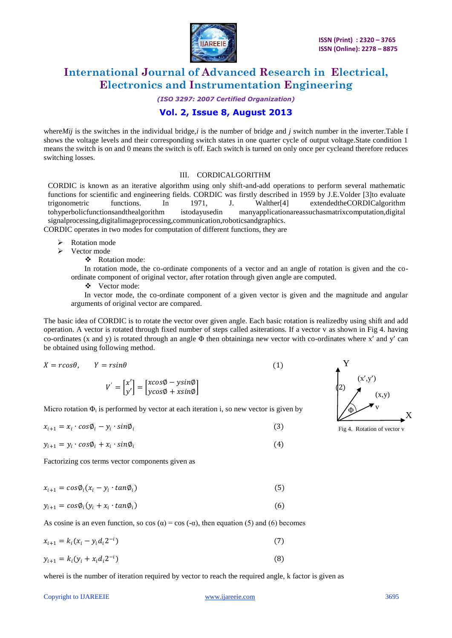

*(ISO 3297: 2007 Certified Organization)*

#### **Vol. 2, Issue 8, August 2013**

where*Mij* is the switches in the individual bridge,*i* is the number of bridge and *j* switch number in the inverter.Table I shows the voltage levels and their corresponding switch states in one quarter cycle of output voltage.State condition 1 means the switch is on and 0 means the switch is off. Each switch is turned on only once per cycleand therefore reduces switching losses.

#### III. CORDICALGORITHM

CORDIC is known as an iterative algorithm using only shift-and-add operations to perform several mathematic functions for scientific and engineering fields. CORDIC was firstly described in 1959 by J.E.Volder [3]to evaluate trigonometric functions. In 1971, J. Walther[4] extendedtheCORDICalgorithm tohyperbolicfunctionsandthealgorithm istodayusedin manyapplicationareassuchasmatrixcomputation,digital signalprocessing,digitalimageprocessing,communication,roboticsandgraphics. CORDIC operates in two modes for computation of different functions, they are

- Rotation mode  $\triangleright$  Vector mode
	- Rotation mode:

 In rotation mode, the co-ordinate components of a vector and an angle of rotation is given and the coordinate component of original vector, after rotation through given angle are computed.

Vector mode:

 In vector mode, the co-ordinate component of a given vector is given and the magnitude and angular arguments of original vector are compared.

The basic idea of CORDIC is to rotate the vector over given angle. Each basic rotation is realizedby using shift and add operation. A vector is rotated through fixed number of steps called asiterations. If a vector v as shown in Fig 4. having co-ordinates (x and y) is rotated through an angle Φ then obtaininga new vector with co-ordinates where x' and y' can be obtained using following method.

$$
X = r\cos\theta, \qquad Y = r\sin\theta \tag{1}
$$

$$
V' = \begin{bmatrix} x' \\ y' \end{bmatrix} = \begin{bmatrix} x\cos\phi - y\sin\phi \\ y\cos\phi + x\sin\phi \end{bmatrix}
$$

Micro rotation  $\Phi_i$  is performed by vector at each iteration i, so new vector is given by

$$
x_{i+1} = x_i \cdot cos\phi_i - y_i \cdot sin\phi_i \tag{3}
$$

$$
y_{i+1} = y_i \cdot \cos\phi_i + x_i \cdot \sin\phi_i \tag{4}
$$

Factorizing cos terms vector components given as

$$
x_{i+1} = \cos \phi_i (x_i - y_i \cdot \tan \phi_i) \tag{5}
$$

$$
y_{i+1} = \cos \phi_i (y_i + x_i \cdot \tan \phi_i) \tag{6}
$$

As cosine is an even function, so cos ( $\alpha$ ) = cos (- $\alpha$ ), then equation (5) and (6) becomes

$$
x_{i+1} = k_i (x_i - y_i d_i 2^{-i})
$$
\n(7)

$$
y_{i+1} = k_i (y_i + x_i d_i 2^{-i})
$$
\n(8)

wherei is the number of iteration required by vector to reach the required angle, k factor is given as



Fig 4. Rotation of vector v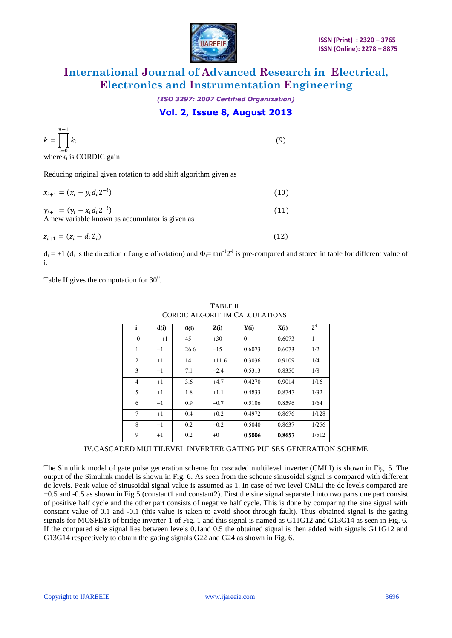

## *(ISO 3297: 2007 Certified Organization)* **Vol. 2, Issue 8, August 2013**

| $n-1$<br>$k = \left  \right  k_i$<br>$i=0$<br>where $k_i$ is CORDIC gain              | (9)  |
|---------------------------------------------------------------------------------------|------|
| Reducing original given rotation to add shift algorithm given as                      |      |
| $x_{i+1} = (x_i - y_i d_i 2^{-i})$                                                    | (10) |
| $y_{i+1} = (y_i + x_i d_i 2^{-i})$<br>A new variable known as accumulator is given as | (11) |
| $z_{i+1} = (z_i - d_i \emptyset_i)$                                                   |      |

 $d_i = \pm 1$  ( $d_i$  is the direction of angle of rotation) and  $\Phi_i = \tan^{-1}2^{-i}$  is pre-computed and stored in table for different value of i.

Table II gives the computation for  $30^0$ .

| i              | d(i) | $\theta(i)$ | Z(i)    | Y(i)     | X(i)   | $2^{-i}$ |
|----------------|------|-------------|---------|----------|--------|----------|
| $\theta$       | $+1$ | 45          | $+30$   | $\theta$ | 0.6073 | 1        |
| 1              | $-1$ | 26.6        | $-15$   | 0.6073   | 0.6073 | 1/2      |
| $\overline{2}$ | $+1$ | 14          | $+11.6$ | 0.3036   | 0.9109 | 1/4      |
| 3              | $-1$ | 7.1         | $-2.4$  | 0.5313   | 0.8350 | 1/8      |
| $\overline{4}$ | $+1$ | 3.6         | $+4.7$  | 0.4270   | 0.9014 | 1/16     |
| 5              | $+1$ | 1.8         | $+1.1$  | 0.4833   | 0.8747 | 1/32     |
| 6              | $-1$ | 0.9         | $-0.7$  | 0.5106   | 0.8596 | 1/64     |
| 7              | $+1$ | 0.4         | $+0.2$  | 0.4972   | 0.8676 | 1/128    |
| 8              | $-1$ | 0.2         | $-0.2$  | 0.5040   | 0.8637 | 1/256    |
| 9              | $+1$ | 0.2         | $+0$    | 0.5006   | 0.8657 | 1/512    |

TABLE II CORDIC ALGORITHM CALCULATIONS

IV.CASCADED MULTILEVEL INVERTER GATING PULSES GENERATION SCHEME

The Simulink model of gate pulse generation scheme for cascaded multilevel inverter (CMLI) is shown in Fig. 5. The output of the Simulink model is shown in Fig. 6. As seen from the scheme sinusoidal signal is compared with different dc levels. Peak value of sinusoidal signal value is assumed as 1. In case of two level CMLI the dc levels compared are +0.5 and -0.5 as shown in Fig.5 (constant1 and constant2). First the sine signal separated into two parts one part consist of positive half cycle and the other part consists of negative half cycle. This is done by comparing the sine signal with constant value of 0.1 and -0.1 (this value is taken to avoid shoot through fault). Thus obtained signal is the gating signals for MOSFETs of bridge inverter-1 of Fig. 1 and this signal is named as G11G12 and G13G14 as seen in Fig. 6. If the compared sine signal lies between levels 0.1and 0.5 the obtained signal is then added with signals G11G12 and G13G14 respectively to obtain the gating signals G22 and G24 as shown in Fig. 6.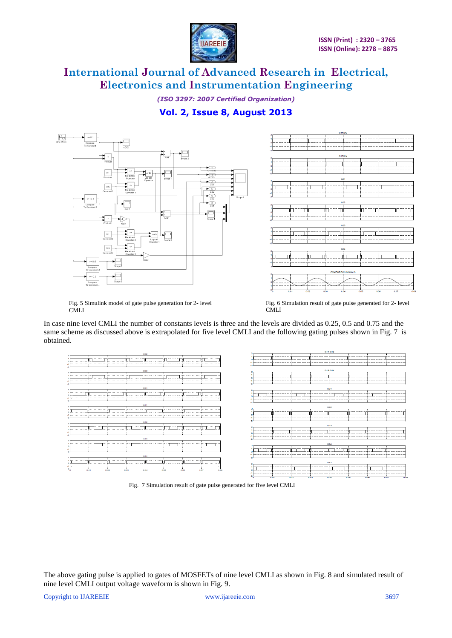

*(ISO 3297: 2007 Certified Organization)* **Vol. 2, Issue 8, August 2013**



Fig. 5 Simulink model of gate pulse generation for 2- level **CMLI** 

Fig. 6 Simulation result of gate pulse generated for 2- level CMLI

In case nine level CMLI the number of constants levels is three and the levels are divided as 0.25, 0.5 and 0.75 and the same scheme as discussed above is extrapolated for five level CMLI and the following gating pulses shown in Fig. 7 is obtained.



Fig. 7 Simulation result of gate pulse generated for five level CMLI

The above gating pulse is applied to gates of MOSFETs of nine level CMLI as shown in Fig. 8 and simulated result of nine level CMLI output voltage waveform is shown in Fig. 9.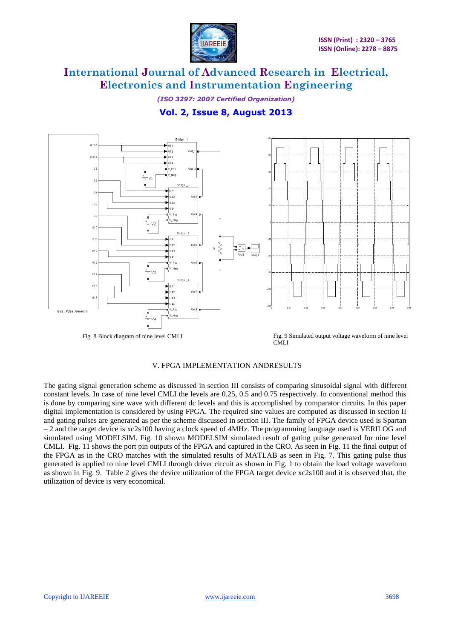

*(ISO 3297: 2007 Certified Organization)* **Vol. 2, Issue 8, August 2013**



Fig. 8 Block diagram of nine level CMLI Fig. 9 Simulated output voltage waveform of nine level **CMLI** 

#### V. FPGA IMPLEMENTATION ANDRESULTS

The gating signal generation scheme as discussed in section III consists of comparing sinusoidal signal with different constant levels. In case of nine level CMLI the levels are 0.25, 0.5 and 0.75 respectively. In conventional method this is done by comparing sine wave with different dc levels and this is accomplished by comparator circuits. In this paper digital implementation is considered by using FPGA. The required sine values are computed as discussed in section II and gating pulses are generated as per the scheme discussed in section III. The family of FPGA device used is Spartan – 2 and the target device is xc2s100 having a clock speed of 4MHz. The programming language used is VERILOG and simulated using MODELSIM. Fig. 10 shown MODELSIM simulated result of gating pulse generated for nine level CMLI. Fig. 11 shows the port pin outputs of the FPGA and captured in the CRO. As seen in Fig. 11 the final output of the FPGA as in the CRO matches with the simulated results of MATLAB as seen in Fig. 7. This gating pulse thus generated is applied to nine level CMLI through driver circuit as shown in Fig. 1 to obtain the load voltage waveform as shown in Fig. 9. Table 2 gives the device utilization of the FPGA target device xc2s100 and it is observed that, the utilization of device is very economical.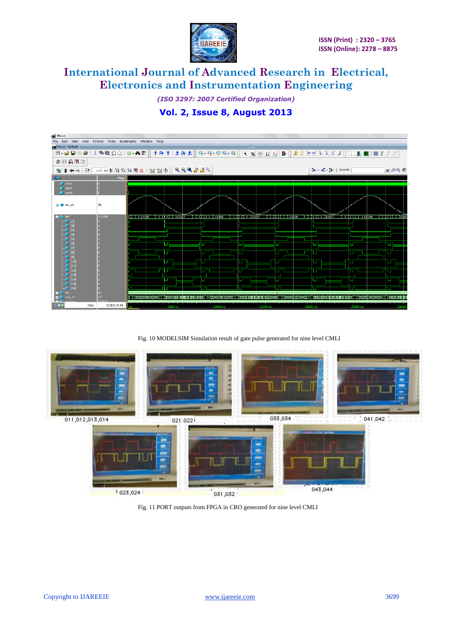

*(ISO 3297: 2007 Certified Organization)*

### **Vol. 2, Issue 8, August 2013**



Fig. 10 MODELSIM Simulation result of gate pulse generated for nine level CMLI



Fig. 11 PORT outputs from FPGA in CRO generated for nine level CMLI